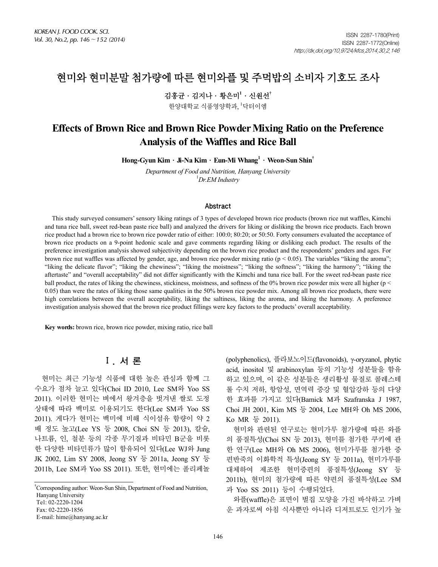# 현미와 현미분말 첨가량에 따른 현미와플 및 주먹밥의 소비자 기호도 조사

김홍균․김지나․황은미**<sup>1</sup>** ․신원선**†**

한양대학교 식품영양학과, <sup>1</sup>닥터이엠

# **Effects of Brown Rice and Brown Rice Powder Mixing Ratio on the Preference Analysis of the Waffles and Rice Ball**

**Hong-Gyun Kim**․**Ji-Na Kim**․**Eun-Mi Whang1** ․**Weon-Sun Shin†**

*Department of Food and Nutrition, Hanyang University* 1 *Dr.EM Industry*

#### Abstract

This study surveyed consumers' sensory liking ratings of 3 types of developed brown rice products (brown rice nut waffles, Kimchi and tuna rice ball, sweet red-bean paste rice ball) and analyzed the drivers for liking or disliking the brown rice products. Each brown rice product had a brown rice to brown rice powder ratio of either: 100:0; 80:20; or 50:50. Forty consumers evaluated the acceptance of brown rice products on a 9-point hedonic scale and gave comments regarding liking or disliking each product. The results of the preference investigation analysis showed subjectivity depending on the brown rice product and the respondents' genders and ages. For brown rice nut waffles was affected by gender, age, and brown rice powder mixing ratio ( $p < 0.05$ ). The variables "liking the aroma"; "liking the delicate flavor"; "liking the chewiness"; "liking the moistness"; "liking the softness"; "liking the harmony"; "liking the aftertaste" and "overall acceptability" did not differ significantly with the Kimchi and tuna rice ball. For the sweet red-bean paste rice ball product, the rates of liking the chewiness, stickiness, moistness, and softness of the 0% brown rice powder mix were all higher ( $p <$ 0.05) than were the rates of liking those same qualities in the 50% brown rice powder mix. Among all brown rice products, there were high correlations between the overall acceptability, liking the saltiness, liking the aroma, and liking the harmony. A preference investigation analysis showed that the brown rice product fillings were key factors to the products' overall acceptability.

**Key words:** brown rice, brown rice powder, mixing ratio, rice ball

## Ⅰ. 서 론

현미는 최근 기능성 식품에 대한 높은 관심과 함께 그 수요가 점차 늘고 있다(Choi ID 2010, Lee SM와 Yoo SS 2011). 이러한 현미는 벼에서 왕겨층을 벗겨낸 쌀로 도정 상태에 따라 백미로 이용되기도 한다(Lee SM과 Yoo SS 2011). 게다가 현미는 백미에 비해 식이섬유 함량이 약 2 배 정도 높고(Lee YS 등 2008, Choi SN 등 2013), 칼슘, 나트륨, 인, 철분 등의 각종 무기질과 비타민 B군을 비롯 한 다양한 비타민류가 많이 함유되어 있다(Lee WJ와 Jung JK 2002, Lim SY 2008, Jeong SY 등 2011a, Jeong SY 등 2011b, Lee SM과 Yoo SS 2011). 또한, 현미에는 폴리페놀

E-mail: hime@hanyang.ac.kr

(polyphenolics), 플라보노이드(flavonoids), γ-oryzanol, phytic acid, inositol 및 arabinoxylan 등의 기능성 성분들을 함유 하고 있으며, 이 같은 성분들은 생리활성 물질로 콜레스테 롤 수치 저하, 항암성, 면역력 증강 및 혈압강하 등의 다양 한 효과를 가지고 있다(Bamick M과 Szafranska J 1987, Choi JH 2001, Kim MS 등 2004, Lee MH와 Oh MS 2006, Ko MR 등 2011).

현미와 관련된 연구로는 현미가루 첨가량에 따른 와플 의 품질특성(Choi SN 등 2013), 현미를 첨가한 쿠키에 관 한 연구(Lee MH와 Oh MS 2006), 현미가루를 첨가한 증 편반죽의 이화학적 특성(Jeong SY 등 2011a), 현미가루를 대체하여 제조한 현미증편의 품질특성(Jeong SY 등 2011b), 현미의 첨가량에 따른 약편의 품질특성(Lee SM 과 Yoo SS 2011) 등이 수행되었다.

와플(waffle)은 표면이 벌집 모양을 가진 바삭하고 가벼 운 과자로써 아침 식사뿐만 아니라 디저트로도 인기가 높

<sup>†</sup> Corresponding author: Weon-Sun Shin, Department of Food and Nutrition, Hanyang University Tel: 02-2220-1204 Fax: 02-2220-1856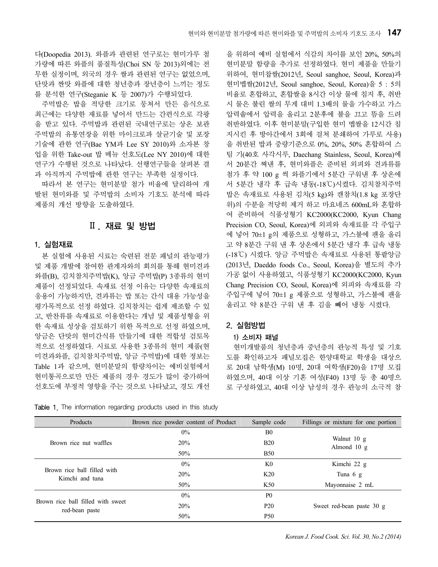다(Doopedia 2013). 와플과 관련된 연구로는 현미가루 첨 가량에 따른 와플의 품질특성(Choi SN 등 2013)외에는 전 무한 실정이며, 외국의 경우 쌀과 관련된 연구는 없었으며, 단맛과 짠맛 와플에 대한 청년층과 장년층이 느끼는 정도 를 분석한 연구(Steganie K 등 2007)가 수행되었다.

주먹밥은 밥을 적당한 크기로 뭉쳐서 만든 음식으로 최근에는 다양한 재료를 넣어서 만드는 간편식으로 각광 을 받고 있다. 주먹밥과 관련된 국내연구로는 상온 보관 주먹밥의 유통연장을 위한 마이크로파 살균기술 및 포장 기술에 관한 연구(Bae YM과 Lee SY 2010)와 소자본 창 업을 위한 Take-out 밥 메뉴 선호도(Lee NY 2010)에 대한 연구가 수행된 것으로 나타났다. 선행연구들을 살펴본 결 과 아직까지 주먹밥에 관한 연구는 부족한 실정이다.

따라서 본 연구는 현미분말 첨가 비율에 달리하여 개 발된 현미와플 및 주먹밥의 소비자 기호도 분석에 따라 제품의 개선 방향을 도출하였다.

## Ⅱ. 재료 및 방법

## 1. 실험재료

본 실험에 사용된 시료는 숙련된 전문 패널의 관능평가 및 제품 개발에 참여한 관계자와의 회의를 통해 현미견과 와플(B), 김치참치주먹밥(K), 앙금 주먹밥(P) 3종류의 현미 제품이 선정되었다. 속재료 선정 이유는 다양한 속재료의 응용이 가능하지만, 견과류는 밥 또는 간식 대용 가능성을 평가목적으로 선정 하였다. 김치참치는 쉽게 제조할 수 있 고, 반찬류를 속재료로 이용한다는 개념 및 제품성형을 위 한 속재료 성상을 검토하기 위한 목적으로 선정 하였으며, 앙금은 단맛의 현미간식류 만들기에 대한 적합성 검토목 적으로 선정하였다. 시료로 사용한 3종류의 현미 제품(현 미견과와플, 김치참치주먹밥, 앙금 주먹밥)에 대한 정보는 Table 1과 같으며, 현미분말의 함량차이는 예비실험에서 현미통곡으로만 만든 제품의 경우 경도가 많이 증가하여 선호도에 부정적 영향을 주는 것으로 나타났고, 경도 개선

Table 1. The information regarding products used in this study

을 위하여 예비 실험에서 식감의 차이를 보인 20%, 50%의 현미분말 함량을 추가로 선정하였다. 현미 제품을 만들기 위하여, 현미찹쌀(2012년, Seoul sanghoe, Seoul, Korea)과 현미멥쌀(2012년, Seoul sanghoe, Seoul, Korea)을 5 : 5의 비율로 혼합하고, 혼합쌀을 8시간 이상 물에 침지 후, 취반 시 물은 불린 쌀의 무게 대비 1.3배의 물을 가수하고 가스 압력솥에서 압력을 올리고 2분후에 불을 끄고 뜸을 드려 취반하였다. 이후 현미분말(구입한 현미 멥쌀을 12시간 침 지시킨 후 방아간에서 3회에 걸쳐 분쇄하여 가루로 사용) 을 취반된 밥과 중량기준으로 0%, 20%, 50% 혼합하여 스 팀 기(40호 사각시루, Daechang Stainless, Seoul, Korea)에 서 20분간 쪄낸 후, 현미와플은 준비된 외피와 견과류를 첨가 후 약 100 g 씩 와플기에서 5분간 구워낸 후 상온에 서 5분간 냉각 후 급속 냉동(-18℃)시켰다. 김치참치주먹 밥은 속재료로 사용된 김치(5 kg)와 캔참치(1.8 kg 포장단 위)의 수분을 적당히 제거 하고 마요네즈 600mL와 혼합하 여 준비하여 식품성형기 KC2000(KC2000, Kyun Chang Precision CO, Seoul, Korea)에 외피와 속재료를 각 주입구 에 넣어 70±1 g의 제품으로 성형하고, 가스불에 팬을 올리 고 약 8분간 구워 낸 후 상온에서 5분간 냉각 후 급속 냉동 (-18℃) 시켰다. 앙금 주먹밥은 속재료로 사용된 통팥앙금 (2013년, Daeddo foods Co., Seoul, Korea)을 별도의 추가 가공 없이 사용하였고, 식품성형기 KC2000(KC2000, Kyun Chang Precision CO, Seoul, Korea)에 외피와 속재료를 각 주입구에 넣어 70±1 g 제품으로 성형하고, 가스불에 팬을 올리고 약 8분간 구워 낸 후 김을 빼어 냉동 시켰다.

## 2. 실험방법

## 1) 소비자 패널

현미개발품의 청년층과 중년층의 관능적 특성 및 기호 도를 확인하고자 패널모집은 한양대학교 학생을 대상으 로 20대 남학생(M) 10명, 20대 여학생(F20)을 17명 모집 하였으며, 40대 이상 기혼 여성(F40) 13명 등 총 40명으 로 구성하였고, 40대 이상 남성의 경우 관능의 소극적 참

| Products                                            | Brown rice powder content of Product | Sample code     | Fillings or mixture for one portion |
|-----------------------------------------------------|--------------------------------------|-----------------|-------------------------------------|
|                                                     | $0\%$                                | B <sub>0</sub>  |                                     |
| Brown rice nut waffles                              | 20%                                  | <b>B20</b>      | Walnut 10 g<br>Almond 10 g          |
|                                                     | 50%                                  | <b>B50</b>      |                                     |
|                                                     | $0\%$                                | K0              | Kimchi 22 g                         |
| Brown rice ball filled with<br>Kimchi and tuna      | 20%                                  | K20             | Tuna $6 \text{ g}$                  |
|                                                     | 50%                                  | K50             | Mayonnaise 2 mL                     |
|                                                     | $0\%$                                | P <sub>0</sub>  |                                     |
| Brown rice ball filled with sweet<br>red-bean paste | 20%                                  | P <sub>20</sub> | Sweet red-bean paste 30 g           |
|                                                     | 50%                                  | <b>P50</b>      |                                     |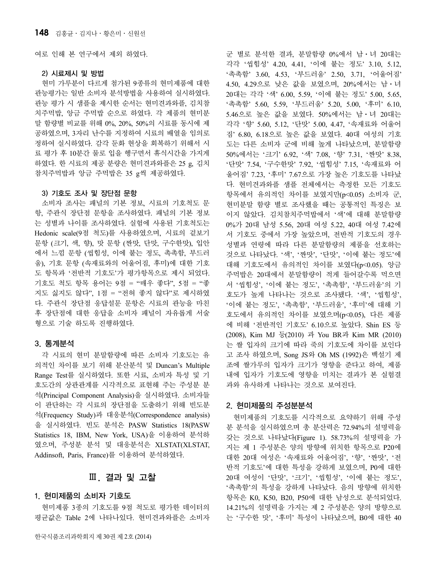여로 인해 본 연구에서 제외 하였다.

#### 2) 시료제시 및 방법

현미 가루분이 다르게 첨가된 9종류의 현미제품에 대한 관능평가는 일반 소비자 분석방법을 사용하여 실시하였다. 관능 평가 시 샘플을 제시한 순서는 현미견과와플, 김치참 치주먹밥, 앙금 주먹밥 순으로 하였다. 각 제품의 현미분 말 함량별 비교를 위해 0%, 20%, 50%의 시료를 동시에 제 공하였으며, 3자리 난수를 지정하여 시료의 배열을 임의로 정하여 실시하였다. 감각 둔화 현상을 회복하기 위해서 시 료 평가 후 10분간 물로 입을 헹구면서 휴식시간을 가지게 하였다. 한 시료의 제공 분량은 현미견과와플은 25 g, 김치 참치주먹밥과 앙금 주먹밥은 35 g씩 제공하였다.

#### 3) 기호도 조사 및 장단점 문항

소비자 조사는 패널의 기본 정보, 시료의 기호척도 문 항, 주관식 장단점 문항을 조사하였다. 패널의 기본 정보 는 성별과 나이를 조사하였다. 실험에 사용된 기호척도는 Hedonic scale(9점 척도)를 사용하였으며, 시료의 겉보기 문항 (크기, 색, 향), 맛 문항 (짠맛, 단맛, 구수한맛), 입안 에서 느낌 문항 (씹힘성, 이에 붙는 정도, 촉촉함, 부드러 움), 기호 문항 (속재료와의 어울어짐, 후미)에 대한 기호 도 항목과 '전반적 기호도'가 평가항목으로 제시 되었다. 기호도 척도 항목 용어는 9점 = "매우 좋다", 5점 = "좋 지도 싫지도 않다", 1점 = "전혀 좋지 않다"로 제시하였 다. 주관식 장단점 응답설문 문항은 시료의 관능을 마친 후 장단점에 대한 응답을 소비자 패널이 자유롭게 서술 형으로 기술 하도록 진행하였다.

#### 3. 통계분석

각 시료의 현미 분말함량에 따른 소비자 기호도는 유 의적인 차이를 보기 위해 분산분석 및 Duncan's Multiple Range Test를 실시하였다. 또한 시료, 소비자 특성 및 기 호도간의 상관관계를 시각적으로 표현해 주는 주성분 분 석(Principal Component Analysis)을 실시하였다. 소비자들 이 판단하는 각 시료의 장단점을 도출하기 위해 빈도분 석(Frequency Study)과 대응분석(Correspondence analysis) 을 실시하였다. 빈도 분석은 PASW Statistics 18(PASW Statistics 18, IBM, New York, USA)을 이용하여 분석하 였으며, 주성분 분석 및 대응분석은 XLSTAT(XLSTAT, Addinsoft, Paris, France)를 이용하여 분석하였다.

## Ⅲ. 결과 및 고찰

## 1. 현미제품의 소비자 기호도

현미제품 3종의 기호도를 9점 척도로 평가한 데이터의 평균값은 Table 2에 나타나있다. 현미견과와플은 소비자 군 별로 분석한 결과, 분말함량 0%에서 남⋅녀 20대는 각각 '씹힘성' 4.20, 4.41, '이에 붙는 정도' 3.10, 5.12, '촉촉함' 3.60, 4.53, '부드러움' 2.50, 3.71, '어울어짐' 4.50, 4.29으로 낮은 값을 보였으며, 20%에서는 남⋅녀 20대는 각각 '색' 6.00, 5.59, '이에 붙는 정도' 5.00, 5.65, '촉촉함' 5.60, 5.59, '부드러움' 5.20, 5.00, '후미' 6.10, 5.46으로 높은 값을 보였다. 50%에서는 남⋅녀 20대는 각각 '향' 5.60, 5.12, '단맛' 5.00, 4.47, '속재료와 어울어 짐' 6.80, 6.18으로 높은 값을 보였다. 40대 여성의 기호 도는 다른 소비자 군에 비해 높게 나타났으며, 분말함량 50%에서는 '크기' 6.92, '색' 7.08, '향' 7.31, '짠맛' 8.38, '단맛' 7.54, '구수한맛' 7.92, '씹힘성' 7.15, '속재료와 어 울어짐' 7.23, '후미' 7.67으로 가장 높은 기호도를 나타났 다. 현미견과와플 샘플 전체에서는 측정한 모든 기호도 항목에서 유의적인 차이를 보였지만(p<0.05) 소비자 군, 현미분말 함량 별로 조사했을 때는 공통적인 특징은 보 이지 않았다. 김치참치주먹밥에서 '색'에 대해 분말함량 0%가 20대 남성 5.56, 20대 여성 5.22, 40대 여성 7.42에 서 기호도 중에서 가장 높았으며, 전반적 기호도의 경우 성별과 연령에 따라 다른 분말함량의 제품을 선호하는 것으로 나타났다. '색', '짠맛', '단맛', '이에 붙는 정도'에 대해 기호도에서 유의적인 차이를 보였다(p<0.05). 앙금 주먹밥은 20대에서 분말함량이 적게 들어갈수록 먹으면 서 '씹힘성', '이에 붙는 정도', '촉촉함', '부드러움'의 기 호도가 높게 나타나는 것으로 조사됐다. '색', '씹힘성', '이에 붙는 정도', '촉촉함', '부드러움', '후미'에 대해 기 호도에서 유의적인 차이를 보였으며(p<0.05), 다른 제품 에 비해 '전반적인 기호도' 6.10으로 높았다. Shin ES 등 (2008), Kim MJ 등(2010) 과 You BR과 Kim MR (2010) 는 쌀 입자의 크기에 따라 죽의 기호도에 차이를 보인다 고 조사 하였으며, Song JS와 Oh MS (1992)은 백설기 제 조에 쌀가루의 입자가 크기가 영향을 준다고 하여, 제품 내에 입자가 기호도에 영향을 미치는 결과가 본 실험결 과와 유사하게 나타나는 것으로 보여진다.

#### 2. 현미제품의 주성분분석

현미제품의 기호도를 시각적으로 요약하기 위해 주성 분 분석을 실시하였으며 총 분산력은 72.94%의 설명력을 갖는 것으로 나타났다(Figure 1). 58.73%의 설명력을 가 지는 제 1 주성분은 양의 방향에 위치한 항목으로 P20에 대한 20대 여성은 '속재료와 어울어짐', '향', '짠맛', '전 반적 기호도'에 대한 특성을 강하게 보였으며, P0에 대한 20대 여성이 '단맛', '크기', '씹힘성', '이에 붙는 정도', '촉촉함'의 특성을 강하게 나타났다. 음의 방향에 위치한 항목은 K0, K50, B20, P50에 대한 남성으로 분석되었다. 14.21%의 설명력을 가지는 제 2 주성분은 양의 방향으로 는 '구수한 맛', '후미' 특성이 나타났으며, B0에 대한 40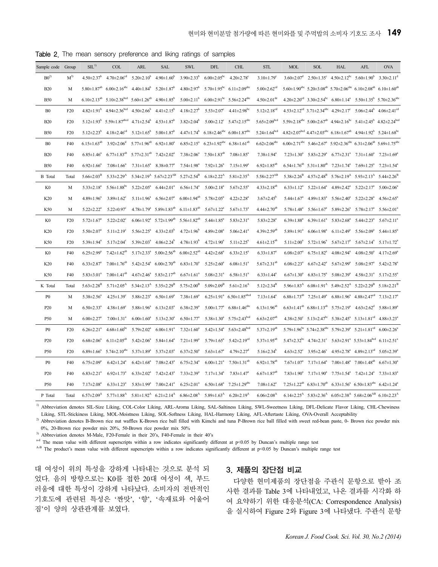| Sample code     | Group           | SL <sup>1</sup>               | <b>COL</b>                                                   | <b>ARL</b>                                      | <b>SAL</b>                                       | <b>SWL</b>                    | <b>DFL</b>                     | <b>CHL</b>                                                              | <b>STL</b>                     | <b>MOL</b>                   | <b>SOL</b>                                                | <b>HAL</b>                                                                                                                                           | AFL                                                        | <b>OVA</b>                   |
|-----------------|-----------------|-------------------------------|--------------------------------------------------------------|-------------------------------------------------|--------------------------------------------------|-------------------------------|--------------------------------|-------------------------------------------------------------------------|--------------------------------|------------------------------|-----------------------------------------------------------|------------------------------------------------------------------------------------------------------------------------------------------------------|------------------------------------------------------------|------------------------------|
| $B0^{2}$        | $M^{3)}$        | $4.50 \pm 2.37$ <sup>b</sup>  | $4.70 \pm 2.06$ <sup>cd</sup>                                | $5.20 \pm 2.10^b$                               | $4.90 \pm 1.60^b$                                | $3.90 \pm 2.33^b$             | $6.00 \pm 2.05^{bc}$           | $4.20 \pm 2.78$ <sup>c</sup>                                            | $3.10 \pm 1.79$ <sup>e</sup>   | $3.60 \pm 2.07$ <sup>d</sup> |                                                           | $2.50\pm1.35^{\circ}$ 4.50 $\pm2.12^{\circ}$ 5.60 $\pm1.90^{\circ}$                                                                                  |                                                            | $3.30 \pm 2.11$ <sup>d</sup> |
| <b>B20</b>      | M               | $5.80 \pm 1.87$ <sup>ab</sup> | $6.00 \pm 2.16$ <sup>abc</sup>                               | $4.40 \pm 1.84^b$                               | $5.20 \pm 1.87$ <sup>b</sup>                     | $4.80 \pm 2.97$ <sup>b</sup>  |                                | 5.70 $\pm$ 1.95 <sup>bc</sup> 6.11 $\pm$ 2.09 <sup>abc</sup>            | $5.00 \pm 2.62$ <sup>cd</sup>  |                              |                                                           | $5.60\pm1.90^{abc}$ $5.20\pm3.08^{ab}$ $5.70\pm2.06^{abc}$ $6.10\pm2.08^{ab}$ $6.10\pm1.60^{ab}$                                                     |                                                            |                              |
| <b>B50</b>      | M               | $6.10 \pm 2.13^{ab}$          | $5.10\pm2.38^{\text{bcd}}$ $5.60\pm1.26^{\text{ab}}$         |                                                 | $4.90 \pm 1.85^b$                                | $5.00 \pm 2.11$ <sup>b</sup>  |                                | $6.00\pm2.91^{bc}$ 5.56 $\pm2.24^{abc}$                                 | $4.50 \pm 2.01$ <sup>de</sup>  |                              |                                                           | $4.20\pm2.20^{cd}$ $3.30\pm2.54^{bc}$ $6.80\pm1.14^{a}$ $5.50\pm1.35^{b}$ $5.70\pm2.36^{abc}$                                                        |                                                            |                              |
| B <sub>0</sub>  | F <sub>20</sub> | $4.82 \pm 1.91^b$             | $4.94 \pm 2.36$ <sup>bcd</sup>                               | $4.50 \pm 2.66^{\circ}$                         | $4.41 \pm 2.15^b$                                | $4.18 \pm 2.27$ <sup>b</sup>  | $5.53 \pm 2.07$ <sup>c</sup>   | $4.41 \pm 2.98$ <sup>bc</sup>                                           | $5.12 \pm 2.18^{cd}$           |                              |                                                           | $4.53\pm2.12^{cd}$ 3.71 $\pm2.34^{abc}$ 4.29 $\pm2.17^{c}$ 5.06 $\pm2.44^{b}$ 4.06 $\pm2.41^{cd}$                                                    |                                                            |                              |
| <b>B20</b>      | F <sub>20</sub> | $5.12 \pm 1.93$ <sup>b</sup>  | $5.59 \pm 1.87$ <sup>abcd</sup> $4.71 \pm 2.54$ <sup>b</sup> |                                                 | $4.53 \pm 1.87$ <sup>b</sup>                     | $3.82 \pm 2.04^b$             |                                | $5.00 \pm 2.12$ <sup>c</sup> $5.47 \pm 2.15$ <sup>abc</sup>             | $5.65 \pm 2.09$ bcd            |                              |                                                           | $5.59\pm2.18^{abc}$ $5.00\pm2.67^{ab}$ $4.94\pm2.16^{bc}$ $5.41\pm2.45^{b}$ $4.82\pm2.24^{bcd}$                                                      |                                                            |                              |
| <b>B50</b>      | F <sub>20</sub> | $5.12 \pm 2.23^b$             | $4.18 \pm 2.46$ <sup>cd</sup>                                | $5.12 \pm 1.65^{\circ}$ $5.00 \pm 1.87^{\circ}$ |                                                  |                               |                                | $4.47\pm1.74^{\rm b}$ 6.18 $\pm2.46^{\rm abc}$ 6.00 $\pm1.87^{\rm abc}$ | $5.24 \pm 1.64^{bcd}$          |                              |                                                           | $4.82\pm2.07^{\text{bcd}}$ $4.47\pm2.03^{\text{abc}}$ 6.18 $\pm1.67^{\text{ab}}$ $4.94\pm1.92^{\text{b}}$ 5.24 $\pm1.68^{\text{bc}}$                 |                                                            |                              |
| B <sub>0</sub>  | F40             | $6.15 \pm 1.63^{ab}$          | $3.92 \pm 2.06^{\circ}$                                      | $5.77 \pm 1.96$ <sup>ab</sup>                   | $6.92 \pm 1.80^a$                                | $6.85 \pm 2.15^a$             | $6.23 \pm 1.92$ <sup>abc</sup> | $6.38 \pm 1.61^{ab}$                                                    | $6.62 \pm 2.06$ <sup>abc</sup> |                              |                                                           | $6.00\pm2.71^{\text{abc}}$ 5.46 $\pm2.67^{\text{a}}$ 5.92 $\pm2.36^{\text{abc}}$ 6.31 $\pm2.06^{\text{ab}}$ 5.69 $\pm1.75^{\text{abc}}$              |                                                            |                              |
| <b>B20</b>      | F40             | $6.85 \pm 1.46^a$             | $6.77 \pm 1.83^{ab}$                                         | $5.77 \pm 2.31^{ab}$                            | $7.42 \pm 2.02^a$                                | $7.38 \pm 2.06^a$             | $7.50 \pm 1.83^{ab}$           | $7.08 \pm 1.85$ <sup>a</sup>                                            | $7.38 \pm 1.94$ <sup>a</sup>   | $7.23 \pm 1.30^a$            | $5.83 \pm 2.29^{\circ}$                                   |                                                                                                                                                      | $6.77 \pm 2.31^{\circ}$ $7.31 \pm 1.60^{\circ}$            | $7.23 \pm 1.69^{\circ}$      |
| <b>B50</b>      | F40             | $6.92 \pm 1.66^a$             | $7.08 \pm 1.66^a$                                            | $7.31 \pm 1.65^a$                               | $8.38 \pm 0.77$ <sup>a</sup>                     | $7.54 \pm 1.98$ <sup>a</sup>  | $7.92 \pm 1.26^a$              | $7.15 \pm 1.99$ <sup>a</sup>                                            | $6.92 \pm 1.85^{ab}$           |                              |                                                           | $6.54 \pm 1.76^{ab}$ $5.31 \pm 1.80^{ab}$ $7.23 \pm 1.74^a$ $7.69 \pm 1.25^a$ $7.23 \pm 1.54^a$                                                      |                                                            |                              |
| <b>B</b> Total  | Total           | $5.66 \pm 2.03^{\rm B}$       | $5.33 \pm 2.29$ <sup>A</sup>                                 |                                                 | $5.34 \pm 2.19^{\rm A}$ $5.67 \pm 2.23^{\rm AB}$ | $5.27 \pm 2.54^{\mathrm{B}}$  | $6.18 \pm 2.22^{\text{A}}$     | $5.81 \pm 2.35$ <sup>A</sup>                                            | $5.58 \pm 2.27$ <sup>AB</sup>  |                              | $5.38 \pm 2.26^{\mathrm{B}}$ $4.57 \pm 2.48^{\mathrm{B}}$ | $5.76 \pm 2.19$ <sup>A</sup>                                                                                                                         | $5.93 \pm 2.13^{\text{A}}$                                 | $5.44 \pm 2.26^B$            |
| K0              | M               | $5.33 \pm 2.18^a$             | 5.56 $\pm$ 1.88 <sup>bc</sup>                                | $5.22 \pm 2.05^a$                               | $6.44 \pm 2.01^a$                                | $6.56 \pm 1.74$ <sup>a</sup>  | $5.00 \pm 2.18$ <sup>a</sup>   | $5.67 \pm 2.55^{\circ}$                                                 | $4.33 \pm 2.18$ <sup>ab</sup>  |                              | $6.33 \pm 1.12^a$ $5.22 \pm 1.64^a$                       | $4.89 \pm 2.42^a$                                                                                                                                    | $5.22 \pm 2.17^a$                                          | $5.00 \pm 2.06^a$            |
| K20             | M               | $4.89 \pm 1.96^a$             | $3.89 \pm 1.62$ <sup>c</sup>                                 | $5.11 \pm 1.96^a$                               | $6.56 \pm 2.07^a$                                | $6.00 \pm 1.94^{ab}$          | $5.78 \pm 2.05^{\circ}$        | $4.22 \pm 2.28$ <sup>a</sup>                                            | $3.67 \pm 2.45^b$              | $5.44 \pm 1.67$ <sup>a</sup> | $4.89 \pm 1.83$ <sup>a</sup>                              | $5.56 \pm 2.40^a$                                                                                                                                    | $5.22 \pm 2.28^a$                                          | $4.56 \pm 2.65^{\circ}$      |
| K50             | M               | $5.22 \pm 2.22^a$             | $5.22 \pm 0.97$ <sup>c</sup>                                 |                                                 | $4.78 \pm 1.79^a$ $5.89 \pm 1.83^{\text{ab}}$    | $6.11 \pm 1.83^{ab}$          | $5.67 \pm 1.22$ <sup>a</sup>   | $5.67 \pm 1.73$ <sup>a</sup>                                            | $4.44 \pm 2.70^{ab}$           | $5.78 \pm 1.48$ <sup>a</sup> | $5.56 \pm 1.67$ <sup>a</sup>                              | $5.89 \pm 2.26^a$                                                                                                                                    | $5.78 \pm 2.17^a$                                          | $5.56 \pm 2.01$ <sup>a</sup> |
| K0              | F20             | $5.72 \pm 1.67$ <sup>a</sup>  | $5.22 \pm 2.02$ <sup>c</sup>                                 |                                                 | $6.06 \pm 1.92^a$ $5.72 \pm 1.99^{ab}$           | $5.56 \pm 1.82$ <sup>ab</sup> | $5.44 \pm 1.85$ <sup>a</sup>   | $5.83 \pm 2.31$ <sup>a</sup>                                            | $5.83 \pm 2.28$ <sup>a</sup>   | $6.39 \pm 1.88$ <sup>a</sup> |                                                           | $6.39 \pm 1.61^{\circ}$ $5.83 \pm 2.68^{\circ}$                                                                                                      | $5.44 \pm 2.23$ <sup>a</sup>                               | $5.67 \pm 2.11^a$            |
| K20             | F <sub>20</sub> | $5.50 \pm 2.07$ <sup>a</sup>  | $5.11 \pm 2.19$ <sup>c</sup>                                 | $5.56 \pm 2.25^a$                               | $4.33 \pm 2.03^b$                                | $4.72 \pm 1.96$ <sup>b</sup>  | $4.89 \pm 2.08$ <sup>a</sup>   | $5.06 \pm 2.41$ <sup>a</sup>                                            | 4.39 $\pm$ 2.59 <sup>ab</sup>  | $5.89 \pm 1.91$ <sup>a</sup> | $6.06 \pm 1.98$ <sup>a</sup>                              | $6.11 \pm 2.49$ <sup>a</sup>                                                                                                                         | $5.56 \pm 2.09^a$                                          | $5.44 \pm 1.85$ <sup>a</sup> |
| K50             | F20             | $5.39 \pm 1.94$ <sup>a</sup>  | $5.17 \pm 2.04$ <sup>c</sup>                                 | $5.39 \pm 2.03$ <sup>a</sup>                    | $4.06 \pm 2.24^{\circ}$                          | $4.78 \pm 1.93$ <sup>b</sup>  | $4.72 \pm 1.90^a$              | $5.11 \pm 2.25$ <sup>a</sup>                                            | $4.61 \pm 2.15^{ab}$           | $5.11 \pm 2.00^a$            | $5.72 \pm 1.96^a$                                         | $5.67 \pm 2.17^a$                                                                                                                                    | $5.67 \pm 2.14^a$                                          | $5.17 \pm 1.72$ <sup>a</sup> |
| K0              | F40             | $6.25 \pm 2.99^a$             | $7.42 \pm 1.62^{ab}$                                         |                                                 | $5.17 \pm 2.33^a$ $5.00 \pm 2.56^{ab}$           | $6.00 \pm 2.52$ <sup>ab</sup> | $4.42 \pm 2.68$ <sup>a</sup>   | $6.33 \pm 2.15^a$                                                       | $6.33 \pm 1.87$ <sup>a</sup>   | $6.08 \pm 2.07$ <sup>a</sup> | $6.75 \pm 1.82$ <sup>a</sup>                              | $4.08 \pm 2.94$ <sup>a</sup>                                                                                                                         | $4.08 \pm 2.50^a$                                          | $4.17 \pm 2.69$ <sup>a</sup> |
| K20             | F40             | $6.33 \pm 2.87$ <sup>a</sup>  | $7.00 \pm 1.76^{ab}$                                         |                                                 | $5.42 \pm 2.54^a$ 6.00 $\pm 2.70^{ab}$           | $6.83 \pm 1.70^a$             | $5.25 \pm 2.60^{\circ}$        | $6.08 \pm 1.51$ <sup>a</sup>                                            | $5.67 \pm 2.31^{ab}$           | $6.08 \pm 2.23$ <sup>a</sup> | $6.67 \pm 2.42$ <sup>a</sup>                              | $5.67 \pm 2.99^{\mathrm{a}}$                                                                                                                         | $5.08 \pm 2.97$ <sup>a</sup>                               | $5.42 \pm 2.78$ <sup>a</sup> |
| K50             | F40             | $5.83 \pm 3.01^a$             | $7.00 \pm 1.41^{ab}$                                         |                                                 | $4.67 \pm 2.46^a$ 5.83 $\pm 2.17^{ab}$           | $6.67 \pm 1.61$ <sup>a</sup>  | $5.08 \pm 2.31$ <sup>a</sup>   | $6.58 \pm 1.51$ <sup>a</sup>                                            | $6.33 \pm 1.44$ <sup>a</sup>   |                              | $6.67 \pm 1.30^a$ $6.83 \pm 1.75^a$                       | $5.08 \pm 2.39$ <sup>a</sup>                                                                                                                         | $4.58\pm2.31^a$ $5.17\pm2.55^a$                            |                              |
| K Total         | Total           | $5.63 \pm 2.28$ <sup>B</sup>  | $5.71 \pm 2.05$ <sup>A</sup>                                 | $5.34 \pm 2.13^{\text{A}}$                      | $5.35 \pm 2.29$ <sup>B</sup>                     | $5.75 \pm 2.00^{\rm B}$       | $5.09 \pm 2.09$ <sup>B</sup>   | $5.61 \pm 2.16$ <sup>A</sup>                                            | $5.12 \pm 2.34$ <sup>B</sup>   | $5.96 \pm 1.83$ <sup>A</sup> | $6.08 \pm 1.91$ <sup>A</sup>                              | $5.49 \pm 2.52^{\text{A}}$                                                                                                                           | $5.22 \pm 2.29^{\rm B}$                                    | $5.18 \pm 2.21^{\mathrm{B}}$ |
| P <sub>0</sub>  | M               | $5.38 \pm 2.56^a$             | $4.25 \pm 1.39$ <sup>c</sup>                                 | $5.88 \pm 2.23^a$                               | $6.50 \pm 1.69^{\circ}$                          | $7.38 \pm 1.69^a$             | $6.25 \pm 1.91^{\circ}$        | $6.50 \pm 1.85$ <sup>abcd</sup>                                         | $7.13 \pm 1.64$ <sup>a</sup>   | $6.88 \pm 1.73^{ab}$         | $7.25 \pm 1.49^a$                                         | $6.88 \pm 1.96^a$                                                                                                                                    | $4.88 \pm 2.47$ <sup>cd</sup>                              | $7.13 \pm 2.17$ <sup>a</sup> |
| P <sub>20</sub> | M               | $6.50 \pm 2.33$ <sup>a</sup>  | $4.38 \pm 1.69$ <sup>c</sup>                                 | $5.88 \pm 1.96^a$                               | $6.13 \pm 2.03^a$                                | $6.38 \pm 2.39$ <sup>a</sup>  | $5.00 \pm 1.77$ <sup>a</sup>   | $6.88 \pm 1.46$ <sup>abc</sup>                                          | $6.13 \pm 1.96^{ab}$           |                              |                                                           | $6.63 \pm 1.41^{ab}$ $6.88 \pm 1.13^{ab}$ $5.75 \pm 2.19^{a}$ $4.63 \pm 2.62^{d}$                                                                    |                                                            | $5.88 \pm 1.89$ <sup>a</sup> |
| P50             | M               | $6.00 \pm 2.27$ <sup>a</sup>  | $7.00 \pm 1.31$ <sup>a</sup>                                 | $6.00 \pm 1.60^a$                               | $5.13 \pm 2.30^a$                                | $6.50 \pm 1.77$ <sup>a</sup>  |                                | $5.38 \pm 1.30^a$ $5.75 \pm 2.43^{\text{bcd}}$                          | $6.63 \pm 2.07^{ab}$           |                              |                                                           | $4.38\pm2.50^{\circ}$ 5.13 $\pm2.47^{\circ}$ 5.38 $\pm2.45^{\circ}$ 5.13 $\pm1.81^{\circ}$                                                           |                                                            | $4.88 \pm 3.23$ <sup>a</sup> |
| P <sub>0</sub>  | F <sub>20</sub> | $6.26 \pm 2.21$ <sup>a</sup>  | $4.68 \pm 1.60$ <sup>bc</sup>                                | $5.79 \pm 2.02^a$                               | $6.00 \pm 1.91$ <sup>a</sup>                     | $7.32 \pm 1.60^a$             | $5.42 \pm 1.54$ <sup>a</sup>   | $5.63 \pm 2.48$ <sup>bcd</sup>                                          | $5.37 \pm 2.19^{ab}$           |                              |                                                           | $5.79 \pm 1.96^{\text{bc}}$ $5.74 \pm 2.38^{\text{abc}}$ $5.79 \pm 2.39^{\text{a}}$ $5.21 \pm 1.81^{\text{cd}}$                                      |                                                            | $6.00 \pm 2.26^{\circ}$      |
| P <sub>20</sub> | F20             | $6.68 \pm 2.06^a$             | $6.11 \pm 2.05^{ab}$                                         | $5.42 \pm 2.06^a$                               | $5.84 \pm 1.64$ <sup>a</sup>                     | $7.21 \pm 1.99^a$             | $5.79 \pm 1.65^a$              | $5.42 \pm 2.19$ <sup>cd</sup>                                           | $5.37 \pm 1.95^{ab}$           |                              |                                                           | $5.47\pm2.32$ <sup>bc</sup> $4.74\pm2.31$ <sup>c</sup> $5.63\pm2.91$ <sup>a</sup> $5.53\pm1.84$ <sup>bcd</sup>                                       |                                                            | $6.11 \pm 2.51$ <sup>a</sup> |
| P50             | F <sub>20</sub> | $6.89 \pm 1.66^a$             | $5.74 \pm 2.10^{abc}$                                        | $5.37 \pm 1.89$ <sup>a</sup>                    | $5.37 \pm 2.03^{\circ}$                          | $6.37 \pm 2.50^a$             | $5.63 \pm 1.67$ <sup>a</sup>   | $4.79 \pm 2.27$ <sup>d</sup>                                            | $5.16 \pm 2.34$ <sup>b</sup>   |                              | $4.63 \pm 2.52$ <sup>c</sup> $3.95 \pm 2.46$ <sup>c</sup> | $4.95 \pm 2.78^a$ $4.89 \pm 2.13^{\text{cd}}$                                                                                                        |                                                            | $5.05 \pm 2.39$ <sup>a</sup> |
| P <sub>0</sub>  | F40             | $6.75 \pm 2.09^a$             | $6.42 \pm 1.24$ <sup>a</sup>                                 | $6.42 \pm 1.68$ <sup>a</sup>                    | $7.08 \pm 2.43$ <sup>a</sup>                     | $6.75 \pm 2.34^a$             | $6.00 \pm 1.21$ <sup>a</sup>   | $7.50 \pm 1.31^{ab}$                                                    | $6.92 \pm 1.78$ <sup>ab</sup>  | $7.67 \pm 1.07$ <sup>a</sup> | $7.17 \pm 1.64$ <sup>a</sup>                              |                                                                                                                                                      | $7.00 \pm 1.48^{\text{a}}$ $7.00 \pm 1.48^{\text{ab}}$     | $6.67 \pm 1.30$ <sup>a</sup> |
| P <sub>20</sub> | F40             | $6.83 \pm 2.21$ <sup>a</sup>  | $6.92 \pm 1.73$ <sup>a</sup>                                 | $6.33 \pm 2.02^a$                               | $7.42 \pm 2.43$ <sup>a</sup>                     | $7.33 \pm 2.39$ <sup>a</sup>  | $7.17 \pm 1.34$ <sup>a</sup>   | $7.83 \pm 1.47$ <sup>a</sup>                                            | $6.67 \pm 1.87$ <sup>ab</sup>  | $7.83 \pm 1.90^a$            | $7.17 \pm 1.90^a$                                         | $7.75 \pm 1.54$ <sup>a</sup>                                                                                                                         | $7.42 \pm 1.24$ <sup>a</sup>                               | $7.33 \pm 1.83$ <sup>a</sup> |
| P50             | F40             | $7.17 \pm 2.08^a$             | $6.33 \pm 1.23$ <sup>a</sup>                                 |                                                 | $5.83 \pm 1.99^a$ 7.00 $\pm 2.41^a$              | $6.25 \pm 2.01^a$             | $6.50 \pm 1.68$ <sup>a</sup>   | $7.25 \pm 1.29$ <sup>abc</sup>                                          | $7.08 \pm 1.62$ <sup>a</sup>   |                              |                                                           | 7.25 $\pm$ 1.22 <sup>ab</sup> 6.83 $\pm$ 1.70 <sup>ab</sup> 6.33 $\pm$ 1.56 <sup>a</sup> 6.50 $\pm$ 1.83 <sup>abc</sup> 6.42 $\pm$ 1.24 <sup>a</sup> |                                                            |                              |
| P Total         | Total           | $6.57 \pm 2.09$ <sup>A</sup>  | $5.77 \pm 1.88$ <sup>A</sup>                                 | $5.81 \pm 1.92$ <sup>A</sup>                    | $6.21 \pm 2.14^{\text{A}}$                       | $6.86 \pm 2.08$ <sup>A</sup>  | $5.89 \pm 1.63$ <sup>A</sup>   | $6.20 \pm 2.19$ <sup>A</sup>                                            | $6.06 \pm 2.08$ <sup>A</sup>   | $6.14 \pm 2.25$ <sup>A</sup> | $5.83 \pm 2.36$ <sup>A</sup>                              |                                                                                                                                                      | $6.05 \pm 2.38$ <sup>A</sup> $5.68 \pm 2.06$ <sup>AB</sup> | $6.10 \pm 2.23$ <sup>A</sup> |

Table 2. The mean sensory preference and liking ratings of samples

<sup>1)</sup> Abbreviation denotes SIL-Size Liking, COL-Color Liking, ARL-Aroma Liking, SAL-Saltiness Liking, SWL-Sweetness Liking, DFL-Delicate Flavor Liking, CHL-Chewiness Liking, STL-Stickiness Liking, MOL-Moistness Liking, SOL-Softness Liking, HAL-Harmony Liking, AFL-Aftertaste Liking, OVA-Overall Acceptability

<sup>2)</sup> Abbreviation denotes B-Brown rice nut waffles K-Brown rice ball filled with Kimchi and tuna P-Brown rice ball filled with sweet red-bean paste, 0- Brown rice powder mix 0%, 20-Brown rice powder mix 20%, 50-Brown rice powder mix 50%

3) Abbreviation denotes M-Male, F20-Female in their 20's, F40-Female in their 40's

a-d The mean value with different superscripts within a row indicates significantly different at p<0.05 by Duncan's multiple range test

A-B The product's mean value with different superscripts within a row indicates significantly different at p<0.05 by Duncan's multiple range test

대 여성이 위의 특성을 강하게 나타내는 것으로 분석 되 었다. 음의 방향으로는 K0를 접한 20대 여성이 색, 부드 러움에 대한 특성이 강하게 나타났다. 소비자의 전반적인 기호도에 관련된 특성은 '짠맛', '향', '속재료와 어울어 짐'이 양의 상관관계를 보였다.

### 3. 제품의 장단점 비교

다양한 현미제품의 장단점을 주관식 문항으로 받아 조 사한 결과를 Table 3에 나타내었고, 나온 결과를 시각화 하 여 요약하기 위한 대응분석(CA: Correspondence Analysis) 을 실시하여 Figure 2와 Figure 3에 나타냈다. 주관식 문항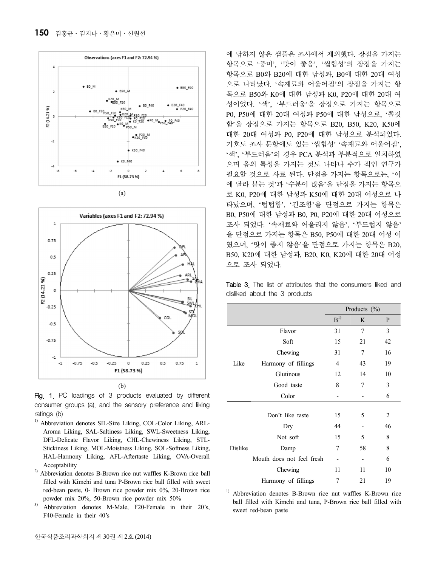



Fig. 1. PC loadings of 3 products evaluated by different consumer groups (a), and the sensory preference and liking ratings (b)

- <sup>1)</sup> Abbreviation denotes SIL-Size Liking, COL-Color Liking, ARL-Aroma Liking, SAL-Saltiness Liking, SWL-Sweetness Liking, DFL-Delicate Flavor Liking, CHL-Chewiness Liking, STL-Stickiness Liking, MOL-Moistness Liking, SOL-Softness Liking, HAL-Harmony Liking, AFL-Aftertaste Liking, OVA-Overall Acceptability
- <sup>2)</sup> Abbreviation denotes B-Brown rice nut waffles K-Brown rice ball filled with Kimchi and tuna P-Brown rice ball filled with sweet red-bean paste, 0- Brown rice powder mix 0%, 20-Brown rice powder mix 20%, 50-Brown rice powder mix 50%
- Abbreviation denotes M-Male, F20-Female in their 20's, F40-Female in their 40's

에 답하지 않은 샘플은 조사에서 제외했다. 장점을 가지는 항목으로 '풍미', '맛이 좋음', '씹힘성'의 장점을 가지는 항목으로 B0와 B20에 대한 남성과, B0에 대한 20대 여성 으로 나타났다. '속재료와 어울어짐'의 장점을 가지는 항 목으로 B50와 K0에 대한 남성과 K0, P20에 대한 20대 여 성이었다. '색', '부드러움'을 장점으로 가지는 항목으로 P0, P50에 대한 20대 여성과 P50에 대한 남성으로, '쫄깃 함'을 장점으로 가지는 항목으로 B20, B50, K20, K50에 대한 20대 여성과 P0, P20에 대한 남성으로 분석되었다. 기호도 조사 문항에도 있는 '씹힘성' '속재료와 어울어짐', '색', '부드러움'의 경우 PCA 분석과 부분적으로 일치하였 으며 음의 특성을 가지는 것도 나타나 추가 적인 연구가 필요할 것으로 사료 된다. 단점을 가지는 항목으로는, '이 에 달라 붙는 것'과 '수분이 많음'을 단점을 가지는 항목으 로 K0, P20에 대한 남성과 K50에 대한 20대 여성으로 나 타났으며, '텁텁함', '건조함'을 단점으로 가지는 항목은 B0, P50에 대한 남성과 B0, P0, P20에 대한 20대 여성으로 조사 되었다. '속재료와 어울리지 않음', '부드럽지 않음' 을 단점으로 가지는 항목은 B50, P50에 대한 20대 여성 이 였으며, '맛이 좋지 않음'을 단점으로 가지는 항목은 B20, B50, K20에 대한 남성과, B20, K0, K20에 대한 20대 여성 으로 조사 되었다.

**Table 3.** The list of attributes that the consumers liked and disliked about the 3 products

|         |                           | Products $(\% )$ |    |                |  |
|---------|---------------------------|------------------|----|----------------|--|
|         |                           | B <sup>1</sup>   | K  | P              |  |
|         | Flavor                    | 31               | 7  | 3              |  |
| Like    | Soft                      | 15               | 21 | 42             |  |
|         | Chewing                   | 31               | 7  | 16             |  |
|         | Harmony of fillings       | $\overline{4}$   | 43 | 19             |  |
|         | Glutinous                 | 12               | 14 | 10             |  |
|         | Good taste                | 8                | 7  | 3              |  |
|         | Color                     |                  |    | 6              |  |
|         |                           |                  |    |                |  |
| Dislike | Don't like taste          | 15               | 5  | $\overline{2}$ |  |
|         | Dry                       | 44               |    | 46             |  |
|         | Not soft                  | 15               | 5  | 8              |  |
|         | Damp                      | 7                | 58 | 8              |  |
|         | Mouth does not feel fresh |                  |    | 6              |  |
|         | Chewing                   | 11               | 11 | 10             |  |
|         | Harmony of fillings       | 7                | 21 | 19             |  |

<sup>1)</sup> Abbreviation denotes B-Brown rice nut waffles K-Brown rice ball filled with Kimchi and tuna, P-Brown rice ball filled with sweet red-bean paste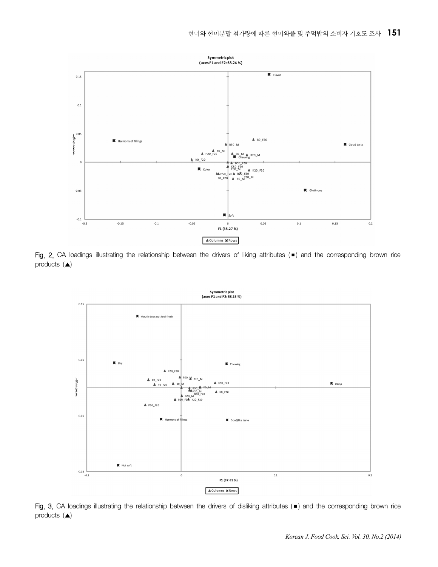

Fig. 2. CA loadings illustrating the relationship between the drivers of liking attributes (■) and the corresponding brown rice products (▲)



Fig. 3. CA loadings illustrating the relationship between the drivers of disliking attributes (■) and the corresponding brown rice products (▲)